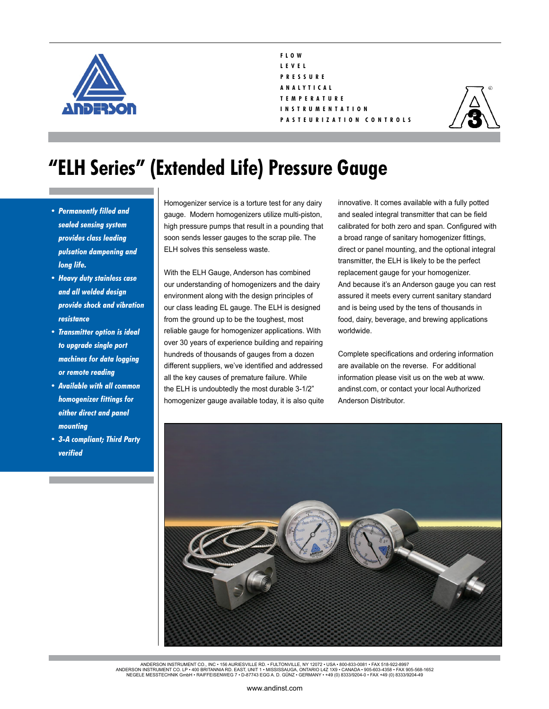

## **F L O W L E V E L P R E S S U R E A N A L Y T I C A L T E M P E R A T U R E I N S T R U M E N T A T I O N P A S T E U R I Z A T I O N C O N T R O L S**



## **"ELH Series" (Extended Life) Pressure Gauge**

- *• Permanently filled and sealed sensing system provides class leading pulsation dampening and long life.*
- *• Heavy duty stainless case and all welded design provide shock and vibration resistance*
- *• Transmitter option is ideal to upgrade single port machines for data logging or remote reading*
- *• Available with all common homogenizer fittings for either direct and panel mounting*
- *• 3-A compliant; Third Party verified*

Homogenizer service is a torture test for any dairy gauge. Modern homogenizers utilize multi-piston, high pressure pumps that result in a pounding that soon sends lesser gauges to the scrap pile. The ELH solves this senseless waste.

With the ELH Gauge, Anderson has combined our understanding of homogenizers and the dairy environment along with the design principles of our class leading EL gauge. The ELH is designed from the ground up to be the toughest, most reliable gauge for homogenizer applications. With over 30 years of experience building and repairing hundreds of thousands of gauges from a dozen different suppliers, we've identified and addressed all the key causes of premature failure. While the ELH is undoubtedly the most durable 3-1/2" homogenizer gauge available today, it is also quite innovative. It comes available with a fully potted and sealed integral transmitter that can be field calibrated for both zero and span. Configured with a broad range of sanitary homogenizer fittings, direct or panel mounting, and the optional integral transmitter, the ELH is likely to be the perfect replacement gauge for your homogenizer. And because it's an Anderson gauge you can rest assured it meets every current sanitary standard and is being used by the tens of thousands in food, dairy, beverage, and brewing applications worldwide.

Complete specifications and ordering information are available on the reverse. For additional information please visit us on the web at www. andinst.com, or contact your local Authorized Anderson Distributor.



ANDERSON INSTRUMENT CO., INC • 156 AURIESVILLE RD. • FULTONVILLE, NY 12072 • USA • 800-833-0081 • FAX 518-922-8997<br>ANDERSON INSTRUMENT CO. LP • 400 BRITANNIA RD. EAST, UNIT 1 • MISSISSAUGA, ONTARIO L42 1X9 • CANADA • 905-6